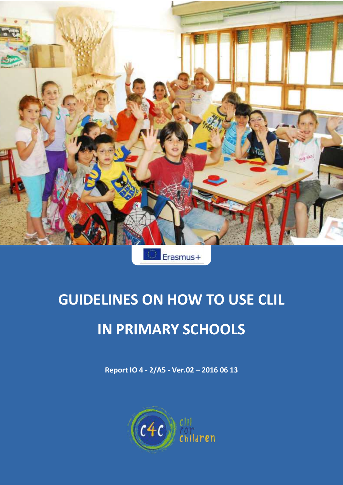

# **GUIDELINES ON HOW TO USE CLIL IN PRIMARY SCHOOLS**

**Report IO 4 - 2/A5 - Ver.02 – 2016 06 13**

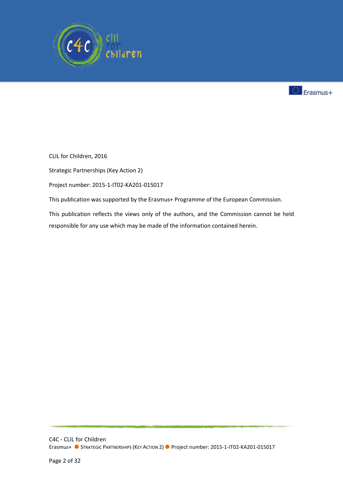



CLIL for Children, 2016

Strategic Partnerships (Key Action 2)

Project number: 2015-1-IT02-KA201-015017

This publication was supported by the Erasmus+ Programme of the European Commission.

This publication reflects the views only of the authors, and the Commission cannot be held responsible for any use which may be made of the information contained herein.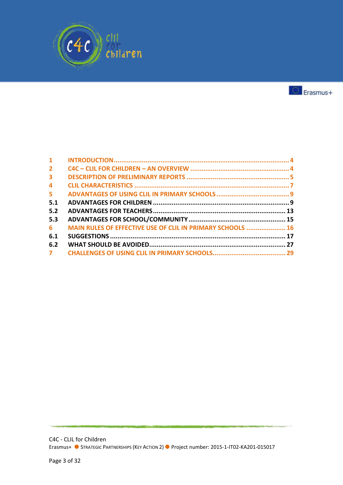



| $\mathbf{1}$   |                                                            |  |
|----------------|------------------------------------------------------------|--|
| $\overline{2}$ |                                                            |  |
| $\mathbf{3}$   |                                                            |  |
| 4              |                                                            |  |
| 5 <sub>1</sub> |                                                            |  |
| 5.1            |                                                            |  |
| 5.2            |                                                            |  |
| 5.3            |                                                            |  |
| 6 <sup>1</sup> | MAIN RULES OF EFFECTIVE USE OF CLIL IN PRIMARY SCHOOLS  16 |  |
| 6.1            |                                                            |  |
| 6.2            |                                                            |  |
| 7              |                                                            |  |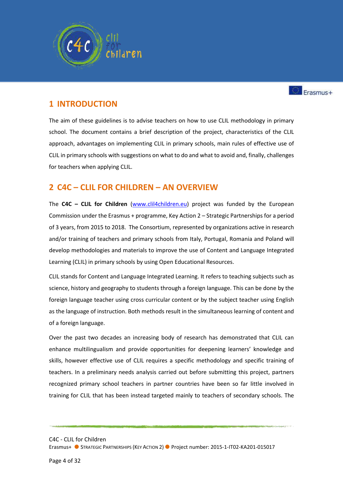



# **1 INTRODUCTION**

The aim of these guidelines is to advise teachers on how to use CLIL methodology in primary school. The document contains a brief description of the project, characteristics of the CLIL approach, advantages on implementing CLIL in primary schools, main rules of effective use of CLIL in primary schools with suggestions on what to do and what to avoid and, finally, challenges for teachers when applying CLIL.

# **2 C4C – CLIL FOR CHILDREN – AN OVERVIEW**

The **C4C – CLIL for Children** [\(www.clil4children.eu\)](http://www.clil4children.eu/) project was funded by the European Commission under the Erasmus + programme, Key Action 2 – Strategic Partnerships for a period of 3 years, from 2015 to 2018. The Consortium, represented by organizations active in research and/or training of teachers and primary schools from Italy, Portugal, Romania and Poland will develop methodologies and materials to improve the use of Content and Language Integrated Learning (CLIL) in primary schools by using Open Educational Resources.

CLIL stands for Content and Language Integrated Learning. It refers to teaching subjects such as science, history and geography to students through a foreign language. This can be done by the foreign language teacher using cross curricular content or by the subject teacher using English as the language of instruction. Both methods result in the simultaneous learning of content and of a foreign language.

Over the past two decades an increasing body of research has demonstrated that CLIL can enhance multilingualism and provide opportunities for deepening learners' knowledge and skills, however effective use of CLIL requires a specific methodology and specific training of teachers. In a preliminary needs analysis carried out before submitting this project, partners recognized primary school teachers in partner countries have been so far little involved in training for CLIL that has been instead targeted mainly to teachers of secondary schools. The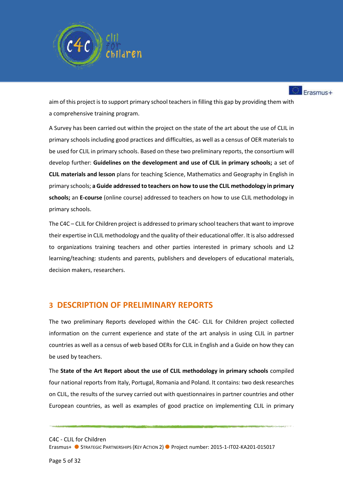

aim of this project is to support primary school teachers in filling this gap by providing them with a comprehensive training program.

A Survey has been carried out within the project on the state of the art about the use of CLIL in primary schools including good practices and difficulties, as well as a census of OER materials to be used for CLIL in primary schools. Based on these two preliminary reports, the consortium will develop further: **Guidelines on the development and use of CLIL in primary schools;** a set of **CLIL materials and lesson** plans for teaching Science, Mathematics and Geography in English in primary schools; **a Guide addressed to teachers on how to use the CLIL methodology in primary schools;** an **E-course** (online course) addressed to teachers on how to use CLIL methodology in primary schools.

The C4C – CLIL for Children project is addressed to primary school teachers that want to improve their expertise in CLIL methodology and the quality of their educational offer. It is also addressed to organizations training teachers and other parties interested in primary schools and L2 learning/teaching: students and parents, publishers and developers of educational materials, decision makers, researchers.

# **3 DESCRIPTION OF PRELIMINARY REPORTS**

The two preliminary Reports developed within the C4C- CLIL for Children project collected information on the current experience and state of the art analysis in using CLIL in partner countries as well as a census of web based OERs for CLIL in English and a Guide on how they can be used by teachers.

The **State of the Art Report about the use of CLIL methodology in primary schools** compiled four national reports from Italy, Portugal, Romania and Poland. It contains: two desk researches on CLIL, the results of the survey carried out with questionnaires in partner countries and other European countries, as well as examples of good practice on implementing CLIL in primary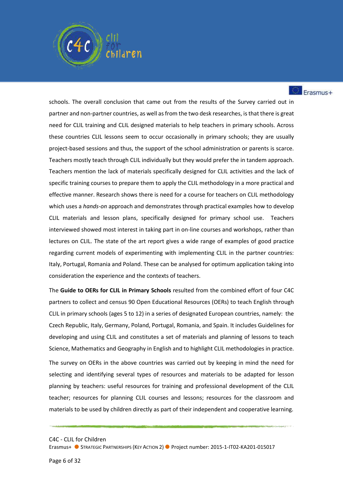

schools. The overall conclusion that came out from the results of the Survey carried out in partner and non-partner countries, as well as from the two desk researches, is that there is great need for CLIL training and CLIL designed materials to help teachers in primary schools. Across these countries CLIL lessons seem to occur occasionally in primary schools; they are usually project-based sessions and thus, the support of the school administration or parents is scarce. Teachers mostly teach through CLIL individually but they would prefer the in tandem approach. Teachers mention the lack of materials specifically designed for CLIL activities and the lack of specific training courses to prepare them to apply the CLIL methodology in a more practical and effective manner. Research shows there is need for a course for teachers on CLIL methodology which uses a *hands-on* approach and demonstrates through practical examples how to develop CLIL materials and lesson plans, specifically designed for primary school use. Teachers interviewed showed most interest in taking part in on-line courses and workshops, rather than lectures on CLIL. The state of the art report gives a wide range of examples of good practice regarding current models of experimenting with implementing CLIL in the partner countries: Italy, Portugal, Romania and Poland. These can be analysed for optimum application taking into consideration the experience and the contexts of teachers.

The **Guide to OERs for CLIL in Primary Schools** resulted from the combined effort of four C4C partners to collect and census 90 Open Educational Resources (OERs) to teach English through CLIL in primary schools (ages 5 to 12) in a series of designated European countries, namely: the Czech Republic, Italy, Germany, Poland, Portugal, Romania, and Spain. It includes Guidelines for developing and using CLIL and constitutes a set of materials and planning of lessons to teach Science, Mathematics and Geography in English and to highlight CLIL methodologies in practice.

The survey on OERs in the above countries was carried out by keeping in mind the need for selecting and identifying several types of resources and materials to be adapted for lesson planning by teachers: useful resources for training and professional development of the CLIL teacher; resources for planning CLIL courses and lessons; resources for the classroom and materials to be used by children directly as part of their independent and cooperative learning.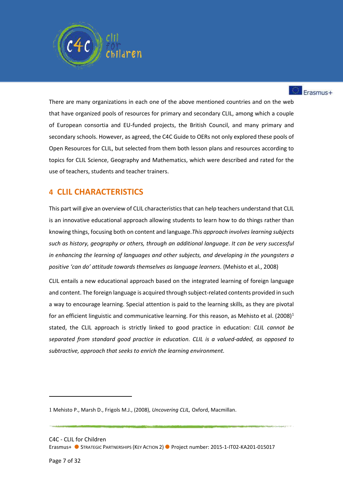

**C** Erasmus+

There are many organizations in each one of the above mentioned countries and on the web that have organized pools of resources for primary and secondary CLIL, among which a couple of European consortia and EU-funded projects, the British Council, and many primary and secondary schools. However, as agreed, the C4C Guide to OERs not only explored these pools of Open Resources for CLIL, but selected from them both lesson plans and resources according to topics for CLIL Science, Geography and Mathematics, which were described and rated for the use of teachers, students and teacher trainers.

# **4 CLIL CHARACTERISTICS**

This part will give an overview of CLIL characteristics that can help teachers understand that CLIL is an innovative educational approach allowing students to learn how to do things rather than knowing things, focusing both on content and language.*This approach involves learning subjects such as history, geography or others, through an additional language*. *It can be very successful in enhancing the learning of languages and other subjects, and developing in the youngsters a positive 'can do' attitude towards themselves as language learners.* (Mehisto et al., 2008)

CLIL entails a new educational approach based on the integrated learning of foreign language and content. The foreign language is acquired through subject-related contents provided in such a way to encourage learning. Special attention is paid to the learning skills, as they are pivotal for an efficient linguistic and communicative learning. For this reason, as Mehisto et al.  $(2008)^1$ stated, the CLIL approach is strictly linked to good practice in education: *CLIL cannot be separated from standard good practice in education. CLIL is a valued-added, as opposed to subtractive, approach that seeks to enrich the learning environment.*

C4C - CLIL for Children Erasmus+ STRATEGIC PARTNERSHIPS (KEY ACTION 2) Project number: 2015-1-IT02-KA201-015017

 $\overline{a}$ 

<sup>1</sup> Mehisto P., Marsh D., Frigols M.J., (2008), *Uncovering CLIL,* Oxford, Macmillan.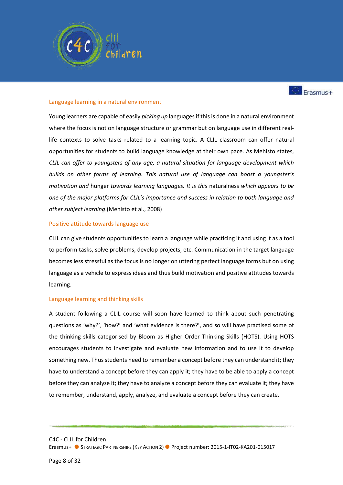



## Language learning in a natural environment

Young learners are capable of easily *picking up* languages if this is done in a natural environment where the focus is not on language structure or grammar but on language use in different reallife contexts to solve tasks related to a learning topic. A CLIL classroom can offer natural opportunities for students to build language knowledge at their own pace. As Mehisto states, *CLIL can offer to youngsters of any age, a natural situation for language development which builds on other forms of learning. This natural use of language can boost a youngster's motivation and* hunger *towards learning languages. It is this* naturalness *which appears to be one of the major platforms for CLIL's importance and success in relation to both language and other subject learning*.(Mehisto et al., 2008)

#### Positive attitude towards language use

CLIL can give students opportunities to learn a language while practicing it and using it as a tool to perform tasks, solve problems, develop projects, etc. Communication in the target language becomes less stressful as the focus is no longer on uttering perfect language forms but on using language as a vehicle to express ideas and thus build motivation and positive attitudes towards learning.

#### Language learning and thinking skills

A student following a CLIL course will soon have learned to think about such penetrating questions as 'why?', 'how?' and 'what evidence is there?', and so will have practised some of the thinking skills categorised by Bloom as Higher Order Thinking Skills (HOTS). Using HOTS encourages students to investigate and evaluate new information and to use it to develop something new. Thus students need to remember a concept before they can understand it; they have to understand a concept before they can apply it; they have to be able to apply a concept before they can analyze it; they have to analyze a concept before they can evaluate it; they have to remember, understand, apply, analyze, and evaluate a concept before they can create.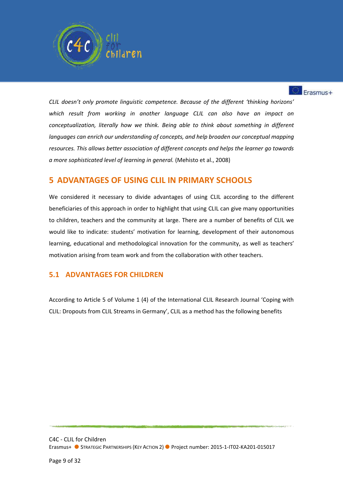



*CLIL doesn't only promote linguistic competence. Because of the different 'thinking horizons'*  which result from working in another language CLIL can also have an impact on *conceptualization, literally how we think. Being able to think about something in different languages can enrich our understanding of concepts, and help broaden our conceptual mapping resources. This allows better association of different concepts and helps the learner go towards a more sophisticated level of learning in general.* (Mehisto et al., 2008)

# **5 ADVANTAGES OF USING CLIL IN PRIMARY SCHOOLS**

We considered it necessary to divide advantages of using CLIL according to the different beneficiaries of this approach in order to highlight that using CLIL can give many opportunities to children, teachers and the community at large. There are a number of benefits of CLIL we would like to indicate: students' motivation for learning, development of their autonomous learning, educational and methodological innovation for the community, as well as teachers' motivation arising from team work and from the collaboration with other teachers.

# **5.1 ADVANTAGES FOR CHILDREN**

According to Article 5 of Volume 1 (4) of the International CLIL Research Journal 'Coping with CLIL: Dropouts from CLIL Streams in Germany', CLIL as a method has the following benefits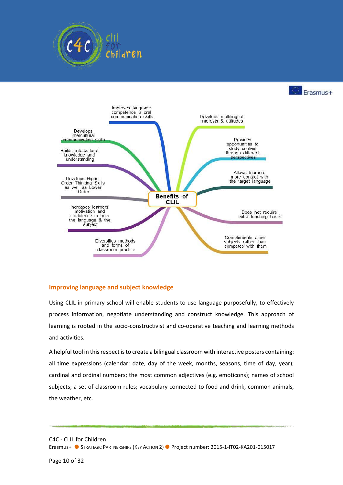





# **Improving language and subject knowledge**

Using CLIL in primary school will enable students to use language purposefully, to effectively process information, negotiate understanding and construct knowledge. This approach of learning is rooted in the socio-constructivist and co-operative teaching and learning methods and activities.

A helpful tool in this respect is to create a bilingual classroom with interactive posters containing: all time expressions (calendar: date, day of the week, months, seasons, time of day, year); cardinal and ordinal numbers; the most common adjectives (e.g. emoticons); names of school subjects; a set of classroom rules; vocabulary connected to food and drink, common animals, the weather, etc.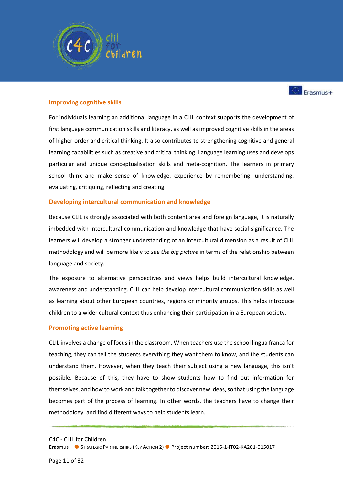



# **Improving cognitive skills**

For individuals learning an additional language in a CLIL context supports the development of first language communication skills and literacy, as well as improved cognitive skills in the areas of higher-order and critical thinking. It also contributes to strengthening cognitive and general learning capabilities such as creative and critical thinking. Language learning uses and develops particular and unique conceptualisation skills and meta-cognition. The learners in primary school think and make sense of knowledge, experience by remembering, understanding, evaluating, critiquing, reflecting and creating.

# **Developing intercultural communication and knowledge**

Because CLIL is strongly associated with both content area and foreign language, it is naturally imbedded with intercultural communication and knowledge that have social significance. The learners will develop a stronger understanding of an intercultural dimension as a result of CLIL methodology and will be more likely to *see the big picture* in terms of the relationship between language and society.

The exposure to alternative perspectives and views helps build intercultural knowledge, awareness and understanding. CLIL can help develop intercultural communication skills as well as learning about other European countries, regions or minority groups. This helps introduce children to a wider cultural context thus enhancing their participation in a European society.

## **Promoting active learning**

CLIL involves a change of focus in the classroom. When teachers use the school lingua franca for teaching, they can tell the students everything they want them to know, and the students can understand them. However, when they teach their subject using a new language, this isn't possible. Because of this, they have to show students how to find out information for themselves, and how to work and talk together to discover new ideas, so that using the language becomes part of the process of learning. In other words, the teachers have to change their methodology, and find different ways to help students learn.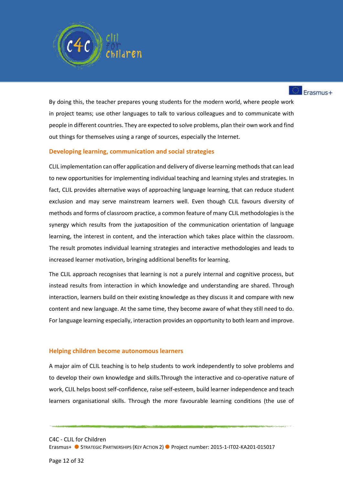

By doing this, the teacher prepares young students for the modern world, where people work in project teams; use other languages to talk to various colleagues and to communicate with people in different countries. They are expected to solve problems, plan their own work and find out things for themselves using a range of sources, especially the Internet.

# **Developing learning, communication and social strategies**

CLIL implementation can offer application and delivery of diverse learning methods that can lead to new opportunities for implementing individual teaching and learning styles and strategies. In fact, CLIL provides alternative ways of approaching language learning, that can reduce student exclusion and may serve mainstream learners well. Even though CLIL favours diversity of methods and forms of classroom practice, a common feature of many CLIL methodologies is the synergy which results from the juxtaposition of the communication orientation of language learning, the interest in content, and the interaction which takes place within the classroom. The result promotes individual learning strategies and interactive methodologies and leads to increased learner motivation, bringing additional benefits for learning.

The CLIL approach recognises that learning is not a purely internal and cognitive process, but instead results from interaction in which knowledge and understanding are shared. Through interaction, learners build on their existing knowledge as they discuss it and compare with new content and new language. At the same time, they become aware of what they still need to do. For language learning especially, interaction provides an opportunity to both learn and improve.

## **Helping children become autonomous learners**

A major aim of CLIL teaching is to help students to work independently to solve problems and to develop their own knowledge and skills.Through the interactive and co-operative nature of work, CLIL helps boost self-confidence, raise self-esteem, build learner independence and teach learners organisational skills. Through the more favourable learning conditions (the use of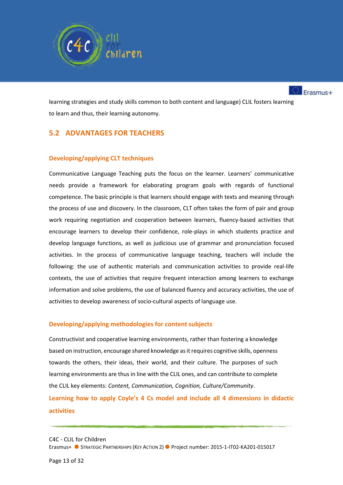



learning strategies and study skills common to both content and language) CLIL fosters learning to learn and thus, their learning autonomy.

# **5.2 ADVANTAGES FOR TEACHERS**

# **Developing/applying CLT techniques**

Communicative Language Teaching puts the focus on the learner. Learners' communicative needs provide a framework for elaborating program goals with regards of functional competence. The basic principle is that learners should engage with texts and meaning through the process of use and discovery. In the classroom, CLT often takes the form of pair and group work requiring negotiation and cooperation between learners, fluency-based activities that encourage learners to develop their confidence, role-plays in which students practice and develop language functions, as well as judicious use of grammar and pronunciation focused activities. In the process of communicative language teaching, teachers will include the following: the use of authentic materials and communication activities to provide real-life contexts, the use of activities that require frequent interaction among learners to exchange information and solve problems, the use of balanced fluency and accuracy activities, the use of activities to develop awareness of socio-cultural aspects of language use.

## **Developing/applying methodologies for content subjects**

Constructivist and cooperative learning environments, rather than fostering a knowledge based on instruction, encourage shared knowledge as it requires cognitive skills, openness towards the others, their ideas, their world, and their culture. The purposes of such learning environments are thus in line with the CLIL ones, and can contribute to complete the CLIL key elements: *Content, Communication, Cognition, Culture/Community*.

**Learning how to apply Coyle's 4 Cs model and include all 4 dimensions in didactic activities**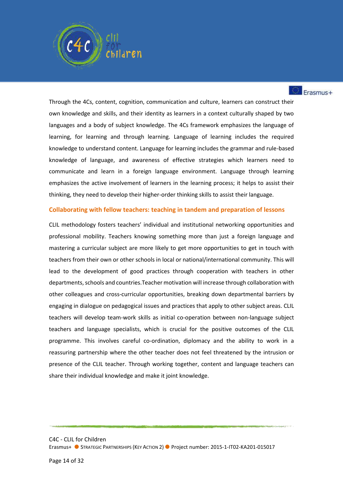

**C** Erasmus+

Through the 4Cs, content, cognition, communication and culture, learners can construct their own knowledge and skills, and their identity as learners in a context culturally shaped by two languages and a body of subject knowledge. The 4Cs framework emphasizes the language of learning, for learning and through learning. Language of learning includes the required knowledge to understand content. Language for learning includes the grammar and rule-based knowledge of language, and awareness of effective strategies which learners need to communicate and learn in a foreign language environment. Language through learning emphasizes the active involvement of learners in the learning process; it helps to assist their thinking, they need to develop their higher-order thinking skills to assist their language.

# **Collaborating with fellow teachers: teaching in tandem and preparation of lessons**

CLIL methodology fosters teachers' individual and institutional networking opportunities and professional mobility. Teachers knowing something more than just a foreign language and mastering a curricular subject are more likely to get more opportunities to get in touch with teachers from their own or other schools in local or national/international community. This will lead to the development of good practices through cooperation with teachers in other departments, schools and countries.Teacher motivation will increase through collaboration with other colleagues and cross-curricular opportunities, breaking down departmental barriers by engaging in dialogue on pedagogical issues and practices that apply to other subject areas. CLIL teachers will develop team-work skills as initial co-operation between non-language subject teachers and language specialists, which is crucial for the positive outcomes of the CLIL programme. This involves careful co-ordination, diplomacy and the ability to work in a reassuring partnership where the other teacher does not feel threatened by the intrusion or presence of the CLIL teacher. Through working together, content and language teachers can share their individual knowledge and make it joint knowledge.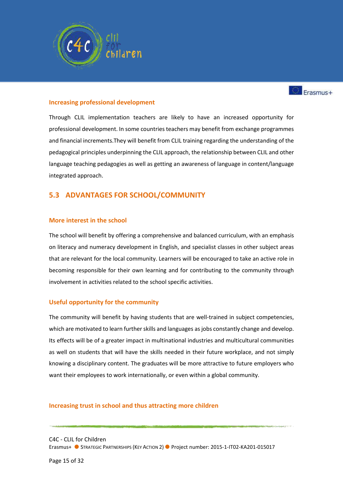



## **Increasing professional development**

Through CLIL implementation teachers are likely to have an increased opportunity for professional development. In some countries teachers may benefit from exchange programmes and financial increments.They will benefit from CLIL training regarding the understanding of the pedagogical principles underpinning the CLIL approach, the relationship between CLIL and other language teaching pedagogies as well as getting an awareness of language in content/language integrated approach.

# **5.3 ADVANTAGES FOR SCHOOL/COMMUNITY**

# **More interest in the school**

The school will benefit by offering a comprehensive and balanced curriculum, with an emphasis on literacy and numeracy development in English, and specialist classes in other subject areas that are relevant for the local community. Learners will be encouraged to take an active role in becoming responsible for their own learning and for contributing to the community through involvement in activities related to the school specific activities.

## **Useful opportunity for the community**

The community will benefit by having students that are well-trained in subject competencies, which are motivated to learn further skills and languages as jobs constantly change and develop. Its effects will be of a greater impact in multinational industries and multicultural communities as well on students that will have the skills needed in their future workplace, and not simply knowing a disciplinary content. The graduates will be more attractive to future employers who want their employees to work internationally, or even within a global community.

## **Increasing trust in school and thus attracting more children**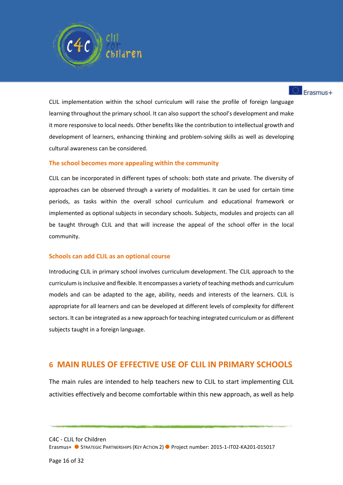

**C** Erasmus+

CLIL implementation within the school curriculum will raise the profile of foreign language learning throughout the primary school. It can also support the school's development and make it more responsive to local needs. Other benefits like the contribution to intellectual growth and development of learners, enhancing thinking and problem-solving skills as well as developing cultural awareness can be considered.

# **The school becomes more appealing within the community**

CLIL can be incorporated in different types of schools: both state and private. The diversity of approaches can be observed through a variety of modalities. It can be used for certain time periods, as tasks within the overall school curriculum and educational framework or implemented as optional subjects in secondary schools. Subjects, modules and projects can all be taught through CLIL and that will increase the appeal of the school offer in the local community.

## **Schools can add CLIL as an optional course**

Introducing CLIL in primary school involves curriculum development. The CLIL approach to the curriculum is inclusive and flexible. It encompasses a variety of teaching methods and curriculum models and can be adapted to the age, ability, needs and interests of the learners. CLIL is appropriate for all learners and can be developed at different levels of complexity for different sectors. It can be integrated as a new approach for teaching integrated curriculum or as different subjects taught in a foreign language.

# **6 MAIN RULES OF EFFECTIVE USE OF CLIL IN PRIMARY SCHOOLS**

The main rules are intended to help teachers new to CLIL to start implementing CLIL activities effectively and become comfortable within this new approach, as well as help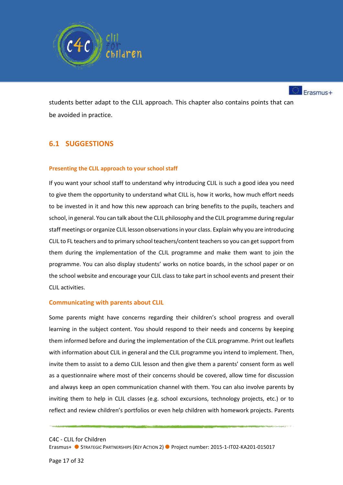



students better adapt to the CLIL approach. This chapter also contains points that can be avoided in practice.

# **6.1 SUGGESTIONS**

# **Presenting the CLIL approach to your school staff**

If you want your school staff to understand why introducing CLIL is such a good idea you need to give them the opportunity to understand what CILL is, how it works, how much effort needs to be invested in it and how this new approach can bring benefits to the pupils, teachers and school, in general. You can talk about the CLIL philosophy and the CLIL programme during regular staff meetings or organize CLIL lesson observations in your class. Explain why you are introducing CLIL to FL teachers and to primary school teachers/content teachers so you can get support from them during the implementation of the CLIL programme and make them want to join the programme. You can also display students' works on notice boards, in the school paper or on the school website and encourage your CLIL class to take part in school events and present their CLIL activities.

## **Communicating with parents about CLIL**

Some parents might have concerns regarding their children's school progress and overall learning in the subject content. You should respond to their needs and concerns by keeping them informed before and during the implementation of the CLIL programme. Print out leaflets with information about CLIL in general and the CLIL programme you intend to implement. Then, invite them to assist to a demo CLIL lesson and then give them a parents' consent form as well as a questionnaire where most of their concerns should be covered, allow time for discussion and always keep an open communication channel with them. You can also involve parents by inviting them to help in CLIL classes (e.g. school excursions, technology projects, etc.) or to reflect and review children's portfolios or even help children with homework projects. Parents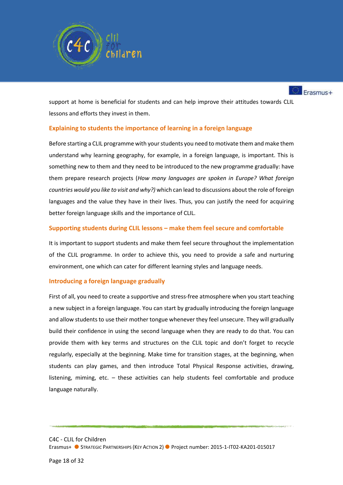

support at home is beneficial for students and can help improve their attitudes towards CLIL lessons and efforts they invest in them.

# **Explaining to students the importance of learning in a foreign language**

Before starting a CLIL programme with your students you need to motivate them and make them understand why learning geography, for example, in a foreign language, is important. This is something new to them and they need to be introduced to the new programme gradually: have them prepare research projects (*How many languages are spoken in Europe? What foreign countries would you like to visit and why?)* which can lead to discussions about the role of foreign languages and the value they have in their lives. Thus, you can justify the need for acquiring better foreign language skills and the importance of CLIL.

# **Supporting students during CLIL lessons – make them feel secure and comfortable**

It is important to support students and make them feel secure throughout the implementation of the CLIL programme. In order to achieve this, you need to provide a safe and nurturing environment, one which can cater for different learning styles and language needs.

# **Introducing a foreign language gradually**

First of all, you need to create a supportive and stress-free atmosphere when you start teaching a new subject in a foreign language. You can start by gradually introducing the foreign language and allow students to use their mother tongue whenever they feel unsecure. They will gradually build their confidence in using the second language when they are ready to do that. You can provide them with key terms and structures on the CLIL topic and don't forget to recycle regularly, especially at the beginning. Make time for transition stages, at the beginning, when students can play games, and then introduce Total Physical Response activities, drawing, listening, miming, etc. – these activities can help students feel comfortable and produce language naturally.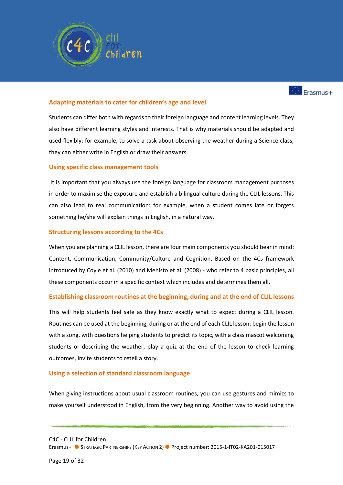



# **Adapting materials to cater for children's age and level**

Students can differ both with regards to their foreign language and content learning levels. They also have different learning styles and interests. That is why materials should be adapted and used flexibly: for example, to solve a task about observing the weather during a Science class, they can either write in English or draw their answers.

#### **Using specific class management tools**

It is important that you always use the foreign language for classroom management purposes in order to maximise the exposure and establish a bilingual culture during the CLIL lessons. This can also lead to real communication: for example, when a student comes late or forgets something he/she will explain things in English, in a natural way.

## **Structuring lessons according to the 4Cs**

When you are planning a CLIL lesson, there are four main components you should bear in mind: Content, Communication, Community/Culture and Cognition. Based on the 4Cs framework introduced by Coyle et al. (2010) and Mehisto et al. (2008) - who refer to 4 basic principles, all these components occur in a specific context which includes and determines them all.

## **Establishing classroom routines at the beginning, during and at the end of CLIL lessons**

This will help students feel safe as they know exactly what to expect during a CLIL lesson. Routines can be used at the beginning, during or at the end of each CLIL lesson: begin the lesson with a song, with questions helping students to predict its topic, with a class mascot welcoming students or describing the weather, play a quiz at the end of the lesson to check learning outcomes, invite students to retell a story.

#### **Using a selection of standard classroom language**

When giving instructions about usual classroom routines, you can use gestures and mimics to make yourself understood in English, from the very beginning. Another way to avoid using the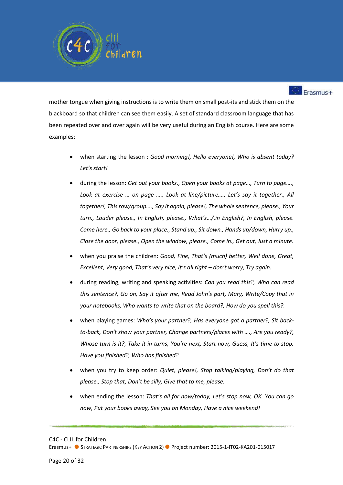

mother tongue when giving instructions is to write them on small post-its and stick them on the blackboard so that children can see them easily. A set of standard classroom language that has been repeated over and over again will be very useful during an English course. Here are some examples:

- when starting the lesson : *Good morning!, Hello everyone!, Who is absent today? Let's start!*
- during the lesson: *Get out your books., Open your books at page…, Turn to page…., Look at exercise … on page …., Look at line/picture…., Let's say it together., All together!, This row/group…., Say it again, please!, The whole sentence, please., Your turn., Louder please., In English, please., What's…/.in English?, In English, please. Come here., Go back to your place., Stand up., Sit down., Hands up/down, Hurry up., Close the door, please., Open the window, please., Come in., Get out, Just a minute.*
- when you praise the children: *Good, Fine, That's (much) better, Well done, Great, Excellent, Very good, That's very nice, It's all right – don't worry, Try again.*
- during reading, writing and speaking activities: *Can you read this?, Who can read this sentence?, Go on, Say it after me, Read John's part, Mary, Write/Copy that in your notebooks, Who wants to write that on the board?, How do you spell this?.*
- when playing games: *Who's your partner?, Has everyone got a partner?, Sit backto-back, Don't show your partner, Change partners/places with …., Are you ready?, Whose turn is it?, Take it in turns, You're next, Start now, Guess, It's time to stop. Have you finished?, Who has finished?*
- when you try to keep order: *Quiet, please!, Stop talking/playing, Don't do that please., Stop that, Don't be silly, Give that to me, please.*
- when ending the lesson: *That's all for now/today, Let's stop now, OK. You can go now, Put your books away, See you on Monday, Have a nice weekend!*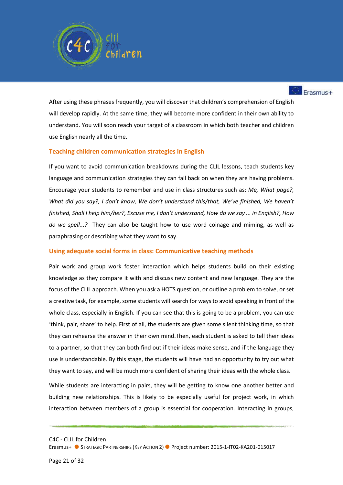

After using these phrases frequently, you will discover that children's comprehension of English will develop rapidly. At the same time, they will become more confident in their own ability to understand. You will soon reach your target of a classroom in which both teacher and children use English nearly all the time.

# **Teaching children communication strategies in English**

If you want to avoid communication breakdowns during the CLIL lessons, teach students key language and communication strategies they can fall back on when they are having problems. Encourage your students to remember and use in class structures such as: *Me, What page?, What did you say?, I don't know, We don't understand this/that, We've finished, We haven't finished, Shall I help him/her?, Excuse me, I don't understand, How do we say ... in English?, How do we spell...?* They can also be taught how to use word coinage and miming, as well as paraphrasing or describing what they want to say.

# **Using adequate social forms in class: Communicative teaching methods**

Pair work and group work foster interaction which helps students build on their existing knowledge as they compare it with and discuss new content and new language. They are the focus of the CLIL approach. When you ask a HOTS question, or outline a problem to solve, or set a creative task, for example, some students will search for ways to avoid speaking in front of the whole class, especially in English. If you can see that this is going to be a problem, you can use 'think, pair, share' to help. First of all, the students are given some silent thinking time, so that they can rehearse the answer in their own mind.Then, each student is asked to tell their ideas to a partner, so that they can both find out if their ideas make sense, and if the language they use is understandable. By this stage, the students will have had an opportunity to try out what they want to say, and will be much more confident of sharing their ideas with the whole class.

While students are interacting in pairs, they will be getting to know one another better and building new relationships. This is likely to be especially useful for project work, in which interaction between members of a group is essential for cooperation. Interacting in groups,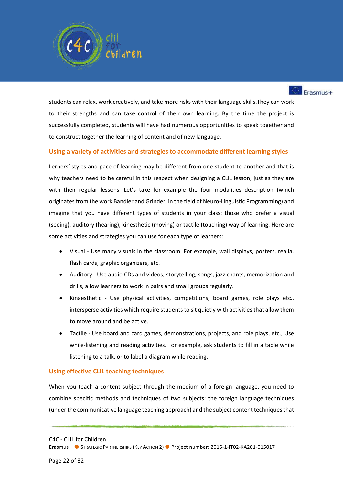

students can relax, work creatively, and take more risks with their language skills.They can work to their strengths and can take control of their own learning. By the time the project is successfully completed, students will have had numerous opportunities to speak together and to construct together the learning of content and of new language.

# **Using a variety of activities and strategies to accommodate different learning styles**

Lerners' styles and pace of learning may be different from one student to another and that is why teachers need to be careful in this respect when designing a CLIL lesson, just as they are with their regular lessons. Let's take for example the four modalities description (which originates from the work Bandler and Grinder, in the field of Neuro-Linguistic Programming) and imagine that you have different types of students in your class: those who prefer a visual (seeing), auditory (hearing), kinesthetic (moving) or tactile (touching) way of learning. Here are some activities and strategies you can use for each type of learners:

- Visual Use many visuals in the classroom. For example, wall displays, posters, realia, flash cards, graphic organizers, etc.
- Auditory Use audio CDs and videos, storytelling, songs, jazz chants, memorization and drills, allow learners to work in pairs and small groups regularly.
- Kinaesthetic Use physical activities, competitions, board games, role plays etc., intersperse activities which require students to sit quietly with activities that allow them to move around and be active.
- Tactile Use board and card games, demonstrations, projects, and role plays, etc., Use while-listening and reading activities. For example, ask students to fill in a table while listening to a talk, or to label a diagram while reading.

# **Using effective CLIL teaching techniques**

When you teach a content subject through the medium of a foreign language, you need to combine specific methods and techniques of two subjects: the foreign language techniques (under the communicative language teaching approach) and the subject content techniques that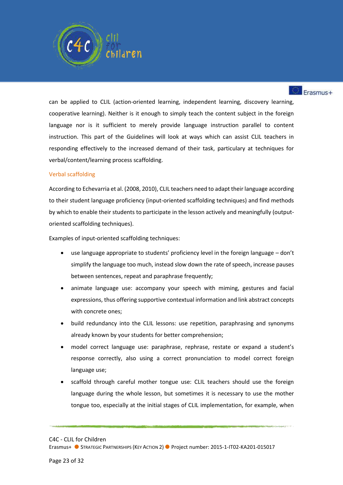

can be applied to CLIL (action-oriented learning, independent learning, discovery learning, cooperative learning). Neither is it enough to simply teach the content subject in the foreign language nor is it sufficient to merely provide language instruction parallel to content instruction. This part of the Guidelines will look at ways which can assist CLIL teachers in responding effectively to the increased demand of their task, particulary at techniques for verbal/content/learning process scaffolding.

## Verbal scaffolding

According to Echevarria et al. (2008, 2010), CLIL teachers need to adapt their language according to their student language proficiency (input-oriented scaffolding techniques) and find methods by which to enable their students to participate in the lesson actively and meaningfully (outputoriented scaffolding techniques).

Examples of input-oriented scaffolding techniques:

- use language appropriate to students' proficiency level in the foreign language don't simplify the language too much, instead slow down the rate of speech, increase pauses between sentences, repeat and paraphrase frequently;
- animate language use: accompany your speech with miming, gestures and facial expressions, thus offering supportive contextual information and link abstract concepts with concrete ones;
- build redundancy into the CLIL lessons: use repetition, paraphrasing and synonyms already known by your students for better comprehension;
- model correct language use: paraphrase, rephrase, restate or expand a student's response correctly, also using a correct pronunciation to model correct foreign language use;
- scaffold through careful mother tongue use: CLIL teachers should use the foreign language during the whole lesson, but sometimes it is necessary to use the mother tongue too, especially at the initial stages of CLIL implementation, for example, when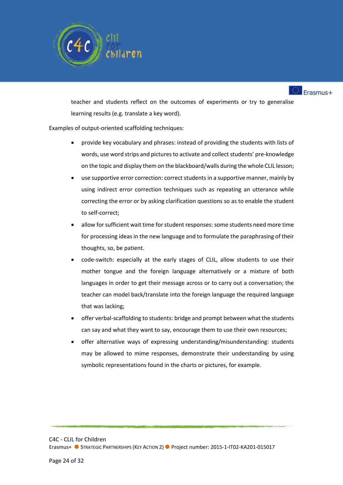



teacher and students reflect on the outcomes of experiments or try to generalise learning results (e.g. translate a key word).

Examples of output-oriented scaffolding techniques:

- provide key vocabulary and phrases: instead of providing the students with lists of words, use word strips and pictures to activate and collect students' pre-knowledge on the topic and display them on the blackboard/walls during the whole CLIL lesson;
- use supportive error correction: correct students in a supportive manner, mainly by using indirect error correction techniques such as repeating an utterance while correcting the error or by asking clarification questions so as to enable the student to self-correct;
- allow for sufficient wait time for student responses: some students need more time for processing ideas in the new language and to formulate the paraphrasing of their thoughts, so, be patient.
- code-switch: especially at the early stages of CLIL, allow students to use their mother tongue and the foreign language alternatively or a mixture of both languages in order to get their message across or to carry out a conversation; the teacher can model back/translate into the foreign language the required language that was lacking;
- offer verbal-scaffolding to students: bridge and prompt between what the students can say and what they want to say, encourage them to use their own resources;
- offer alternative ways of expressing understanding/misunderstanding: students may be allowed to mime responses, demonstrate their understanding by using symbolic representations found in the charts or pictures, for example.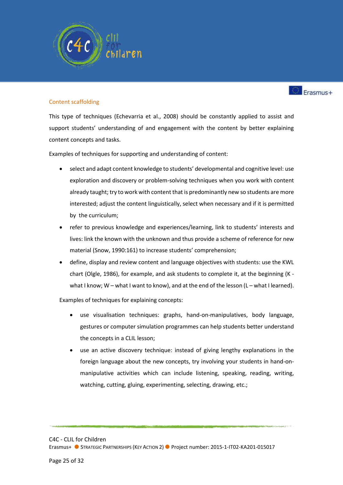



# Content scaffolding

This type of techniques (Echevarria et al., 2008) should be constantly applied to assist and support students' understanding of and engagement with the content by better explaining content concepts and tasks.

Examples of techniques for supporting and understanding of content:

- select and adapt content knowledge to students' developmental and cognitive level: use exploration and discovery or problem-solving techniques when you work with content already taught; try to work with content that is predominantly new so students are more interested; adjust the content linguistically, select when necessary and if it is permitted by the curriculum;
- refer to previous knowledge and experiences/learning, link to students' interests and lives: link the known with the unknown and thus provide a scheme of reference for new material (Snow, 1990:161) to increase students' comprehension;
- define, display and review content and language objectives with students: use the KWL chart (Olgle, 1986), for example, and ask students to complete it, at the beginning (K what I know; W – what I want to know), and at the end of the lesson (L – what I learned).

Examples of techniques for explaining concepts:

- use visualisation techniques: graphs, hand-on-manipulatives, body language, gestures or computer simulation programmes can help students better understand the concepts in a CLIL lesson;
- use an active discovery technique: instead of giving lengthy explanations in the foreign language about the new concepts, try involving your students in hand-onmanipulative activities which can include listening, speaking, reading, writing, watching, cutting, gluing, experimenting, selecting, drawing, etc.;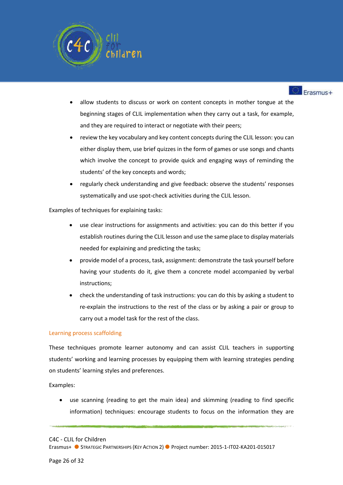

- allow students to discuss or work on content concepts in mother tongue at the beginning stages of CLIL implementation when they carry out a task, for example, and they are required to interact or negotiate with their peers;
- review the key vocabulary and key content concepts during the CLIL lesson: you can either display them, use brief quizzes in the form of games or use songs and chants which involve the concept to provide quick and engaging ways of reminding the students' of the key concepts and words;
- regularly check understanding and give feedback: observe the students' responses systematically and use spot-check activities during the CLIL lesson.

Examples of techniques for explaining tasks:

- use clear instructions for assignments and activities: you can do this better if you establish routines during the CLIL lesson and use the same place to display materials needed for explaining and predicting the tasks;
- provide model of a process, task, assignment: demonstrate the task yourself before having your students do it, give them a concrete model accompanied by verbal instructions;
- check the understanding of task instructions: you can do this by asking a student to re-explain the instructions to the rest of the class or by asking a pair or group to carry out a model task for the rest of the class.

## Learning process scaffolding

These techniques promote learner autonomy and can assist CLIL teachers in supporting students' working and learning processes by equipping them with learning strategies pending on students' learning styles and preferences.

Examples:

 use scanning (reading to get the main idea) and skimming (reading to find specific information) techniques: encourage students to focus on the information they are

C4C - CLIL for Children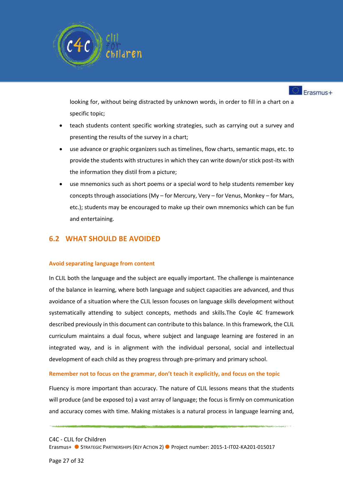

specific topic;

looking for, without being distracted by unknown words, in order to fill in a chart on a

Erasmus+

- teach students content specific working strategies, such as carrying out a survey and presenting the results of the survey in a chart;
- use advance or graphic organizers such as timelines, flow charts, semantic maps, etc. to provide the students with structures in which they can write down/or stick post-its with the information they distil from a picture;
- use mnemonics such as short poems or a special word to help students remember key concepts through associations (My – for Mercury, Very – for Venus, Monkey – for Mars, etc.); students may be encouraged to make up their own mnemonics which can be fun and entertaining.

# **6.2 WHAT SHOULD BE AVOIDED**

## **Avoid separating language from content**

In CLIL both the language and the subject are equally important. The challenge is maintenance of the balance in learning, where both language and subject capacities are advanced, and thus avoidance of a situation where the CLIL lesson focuses on language skills development without systematically attending to subject concepts, methods and skills.The Coyle 4C framework described previously in this document can contribute to this balance. In this framework, the CLIL curriculum maintains a dual focus, where subject and language learning are fostered in an integrated way, and is in alignment with the individual personal, social and intellectual development of each child as they progress through pre-primary and primary school.

## **Remember not to focus on the grammar, don't teach it explicitly, and focus on the topic**

Fluency is more important than accuracy. The nature of CLIL lessons means that the students will produce (and be exposed to) a vast array of language; the focus is firmly on communication and accuracy comes with time. Making mistakes is a natural process in language learning and,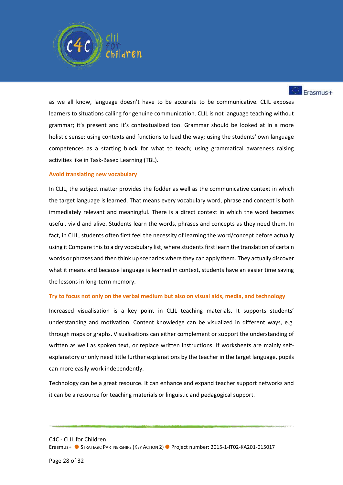

as we all know, language doesn't have to be accurate to be communicative. CLIL exposes learners to situations calling for genuine communication. CLIL is not language teaching without grammar; it's present and it's contextualized too. Grammar should be looked at in a more holistic sense: using contexts and functions to lead the way; using the students' own language competences as a starting block for what to teach; using grammatical awareness raising activities like in Task-Based Learning (TBL).

#### **Avoid translating new vocabulary**

In CLIL, the subject matter provides the fodder as well as the communicative context in which the target language is learned. That means every vocabulary word, phrase and concept is both immediately relevant and meaningful. There is a direct context in which the word becomes useful, vivid and alive. Students learn the words, phrases and concepts as they need them. In fact, in CLIL, students often first feel the necessity of learning the word/concept before actually using it Compare this to a dry vocabulary list, where students first learn the translation of certain words or phrases and then think up scenarios where they can apply them. They actually discover what it means and because language is learned in context, students have an easier time saving the lessons in long-term memory.

## **Try to focus not only on the verbal medium but also on visual aids, media, and technology**

Increased visualisation is a key point in CLIL teaching materials. It supports students' understanding and motivation. Content knowledge can be visualized in different ways, e.g. through maps or graphs. Visualisations can either complement or support the understanding of written as well as spoken text, or replace written instructions. If worksheets are mainly selfexplanatory or only need little further explanations by the teacher in the target language, pupils can more easily work independently.

Technology can be a great resource. It can enhance and expand teacher support networks and it can be a resource for teaching materials or linguistic and pedagogical support.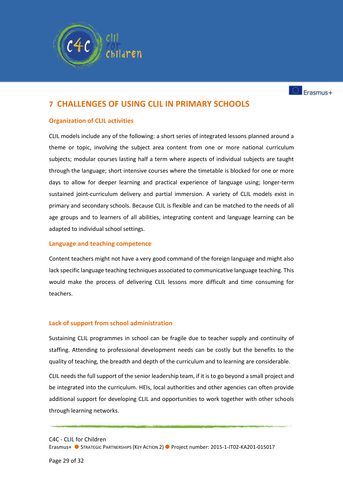



# **7 CHALLENGES OF USING CLIL IN PRIMARY SCHOOLS**

# **Organization of CLIL activities**

CLIL models include any of the following: a short series of integrated lessons planned around a theme or topic, involving the subject area content from one or more national curriculum subjects; modular courses lasting half a term where aspects of individual subjects are taught through the language; short intensive courses where the timetable is blocked for one or more days to allow for deeper learning and practical experience of language using; longer-term sustained joint-curriculum delivery and partial immersion. A variety of CLIL models exist in primary and secondary schools. Because CLIL is flexible and can be matched to the needs of all age groups and to learners of all abilities, integrating content and language learning can be adapted to individual school settings.

## **Language and teaching competence**

Content teachers might not have a very good command of the foreign language and might also lack specific language teaching techniques associated to communicative language teaching. This would make the process of delivering CLIL lessons more difficult and time consuming for teachers.

## **Lack of support from school administration**

Sustaining CLIL programmes in school can be fragile due to teacher supply and continuity of staffing. Attending to professional development needs can be costly but the benefits to the quality of teaching, the breadth and depth of the curriculum and to learning are considerable.

CLIL needs the full support of the senior leadership team, if it is to go beyond a small project and be integrated into the curriculum. HEIs, local authorities and other agencies can often provide additional support for developing CLIL and opportunities to work together with other schools through learning networks.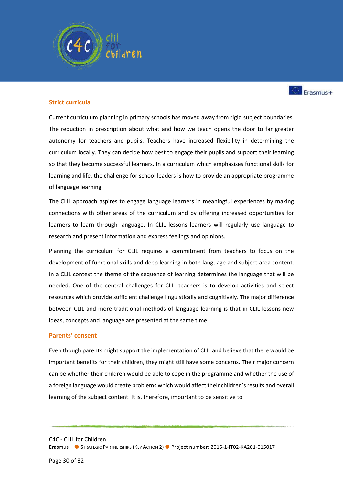



# **Strict curricula**

Current curriculum planning in primary schools has moved away from rigid subject boundaries. The reduction in prescription about what and how we teach opens the door to far greater autonomy for teachers and pupils. Teachers have increased flexibility in determining the curriculum locally. They can decide how best to engage their pupils and support their learning so that they become successful learners. In a curriculum which emphasises functional skills for learning and life, the challenge for school leaders is how to provide an appropriate programme of language learning.

The CLIL approach aspires to engage language learners in meaningful experiences by making connections with other areas of the curriculum and by offering increased opportunities for learners to learn through language. In CLIL lessons learners will regularly use language to research and present information and express feelings and opinions.

Planning the curriculum for CLIL requires a commitment from teachers to focus on the development of functional skills and deep learning in both language and subject area content. In a CLIL context the theme of the sequence of learning determines the language that will be needed. One of the central challenges for CLIL teachers is to develop activities and select resources which provide sufficient challenge linguistically and cognitively. The major difference between CLIL and more traditional methods of language learning is that in CLIL lessons new ideas, concepts and language are presented at the same time.

#### **Parents' consent**

Even though parents might support the implementation of CLIL and believe that there would be important benefits for their children, they might still have some concerns. Their major concern can be whether their children would be able to cope in the programme and whether the use of a foreign language would create problems which would affect their children's results and overall learning of the subject content. It is, therefore, important to be sensitive to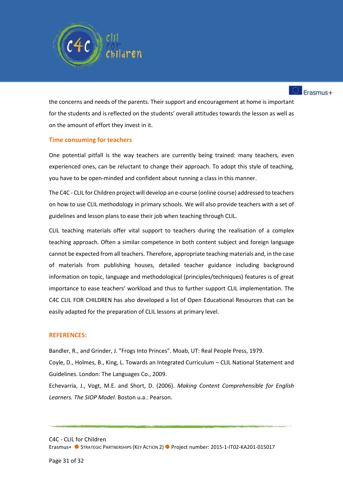

the concerns and needs of the parents. Their support and encouragement at home is important for the students and is reflected on the students' overall attitudes towards the lesson as well as on the amount of effort they invest in it.

# **Time consuming for teachers**

One potential pitfall is the way teachers are currently being trained: many teachers, even experienced ones, can be reluctant to change their approach. To adopt this style of teaching, you have to be open-minded and confident about running a class in this manner.

The C4C - CLIL for Children project will develop an e-course (online course) addressed to teachers on how to use CLIL methodology in primary schools. We will also provide teachers with a set of guidelines and lesson plans to ease their job when teaching through CLIL.

CLIL teaching materials offer vital support to teachers during the realisation of a complex teaching approach. Often a similar competence in both content subject and foreign language cannot be expected from all teachers. Therefore, appropriate teaching materials and, in the case of materials from publishing houses, detailed teacher guidance including background information on topic, language and methodological (principles/techniques) features is of great importance to ease teachers' workload and thus to further support CLIL implementation. The C4C CLIL FOR CHILDREN has also developed a list of Open Educational Resources that can be easily adapted for the preparation of CLIL lessons at primary level.

# **REFERENCES:**

Bandler, R., and Grinder, J. "Frogs Into Princes". Moab, UT: Real People Press, 1979.

Coyle, D., Holmes, B., King, L. Towards an Integrated Curriculum – CLIL National Statement and Guidelines. London: The Languages Co., 2009.

Echevarria, J., Vogt, M.E. and Short, D. (2006). *Making Content Comprehensible for English Learners. The SIOP Model*. Boston u.a.: Pearson.